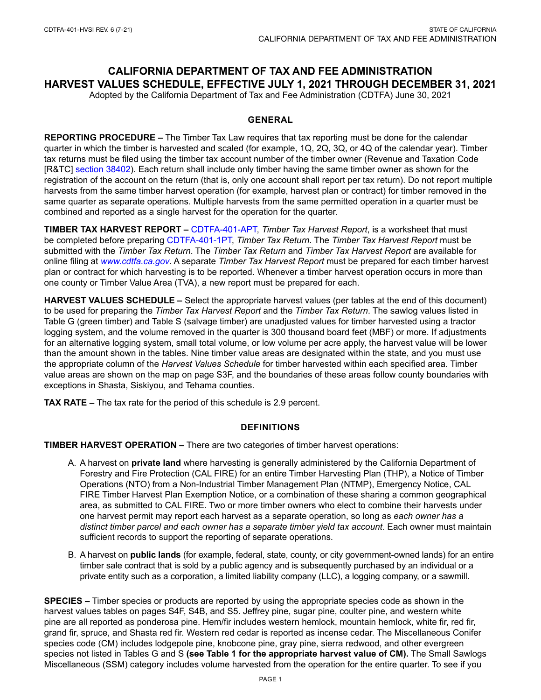### **CALIFORNIA DEPARTMENT OF TAX AND FEE ADMINISTRATION HARVEST VALUES SCHEDULE, EFFECTIVE JULY 1, 2021 THROUGH DECEMBER 31, 2021**

Adopted by the California Department of Tax and Fee Administration (CDTFA) June 30, 2021

#### **GENERAL**

**REPORTING PROCEDURE –** The Timber Tax Law requires that tax reporting must be done for the calendar quarter in which the timber is harvested and scaled (for example, 1Q, 2Q, 3Q, or 4Q of the calendar year). Timber tax returns must be filed using the timber tax account number of the timber owner (Revenue and Taxation Code [R&TC] [section 38402\)](http://www.cdtfa.ca.gov/lawguides/vol4/tyt/38402.html). Each return shall include only timber having the same timber owner as shown for the registration of the account on the return (that is, only one account shall report per tax return). Do not report multiple harvests from the same timber harvest operation (for example, harvest plan or contract) for timber removed in the same quarter as separate operations. Multiple harvests from the same permitted operation in a quarter must be combined and reported as a single harvest for the operation for the quarter.

**TIMBER TAX HARVEST REPORT –** [CDTFA-401-APT,](https://www.cdtfa.ca.gov/formspubs/cdtfa401apt.pdf) *Timber Tax Harvest Report*, is a worksheet that must be completed before preparing [CDTFA-401-1PT](https://www.cdtfa.ca.gov/formspubs/cdtfa401-1pt.pdf), *Timber Tax Return*. The *Timber Tax Harvest Report* must be submitted with the *Timber Tax Return*. The *Timber Tax Return* and *Timber Tax Harvest Report* are available for online filing at *[www.cdtfa.ca.gov](http://www.cdtfa.ca.gov)*. A separate *Timber Tax Harvest Report* must be prepared for each timber harvest plan or contract for which harvesting is to be reported. Whenever a timber harvest operation occurs in more than one county or Timber Value Area (TVA), a new report must be prepared for each.

**HARVEST VALUES SCHEDULE –** Select the appropriate harvest values (per tables at the end of this document) to be used for preparing the *Timber Tax Harvest Report* and the *Timber Tax Return*. The sawlog values listed in Table G (green timber) and Table S (salvage timber) are unadjusted values for timber harvested using a tractor logging system, and the volume removed in the quarter is 300 thousand board feet (MBF) or more. If adjustments for an alternative logging system, small total volume, or low volume per acre apply, the harvest value will be lower than the amount shown in the tables. Nine timber value areas are designated within the state, and you must use the appropriate column of the *Harvest Values Schedule* for timber harvested within each specified area. Timber value areas are shown on the map on page S3F, and the boundaries of these areas follow county boundaries with exceptions in Shasta, Siskiyou, and Tehama counties.

**TAX RATE –** The tax rate for the period of this schedule is 2.9 percent.

#### **DEFINITIONS**

**TIMBER HARVEST OPERATION –** There are two categories of timber harvest operations:

- A. A harvest on **private land** where harvesting is generally administered by the California Department of Forestry and Fire Protection (CAL FIRE) for an entire Timber Harvesting Plan (THP), a Notice of Timber Operations (NTO) from a Non-Industrial Timber Management Plan (NTMP), Emergency Notice, CAL FIRE Timber Harvest Plan Exemption Notice, or a combination of these sharing a common geographical area, as submitted to CAL FIRE. Two or more timber owners who elect to combine their harvests under one harvest permit may report each harvest as a separate operation, so long as *each owner has a distinct timber parcel and each owner has a separate timber yield tax account*. Each owner must maintain sufficient records to support the reporting of separate operations.
- B. A harvest on **public lands** (for example, federal, state, county, or city government-owned lands) for an entire timber sale contract that is sold by a public agency and is subsequently purchased by an individual or a private entity such as a corporation, a limited liability company (LLC), a logging company, or a sawmill.

**SPECIES –** Timber species or products are reported by using the appropriate species code as shown in the harvest values tables on pages S4F, S4B, and S5. Jeffrey pine, sugar pine, coulter pine, and western white pine are all reported as ponderosa pine. Hem/fir includes western hemlock, mountain hemlock, white fir, red fir, grand fir, spruce, and Shasta red fir. Western red cedar is reported as incense cedar. The Miscellaneous Conifer species code (CM) includes lodgepole pine, knobcone pine, gray pine, sierra redwood, and other evergreen species not listed in Tables G and S **(see Table 1 for the appropriate harvest value of CM).** The Small Sawlogs Miscellaneous (SSM) category includes volume harvested from the operation for the entire quarter. To see if you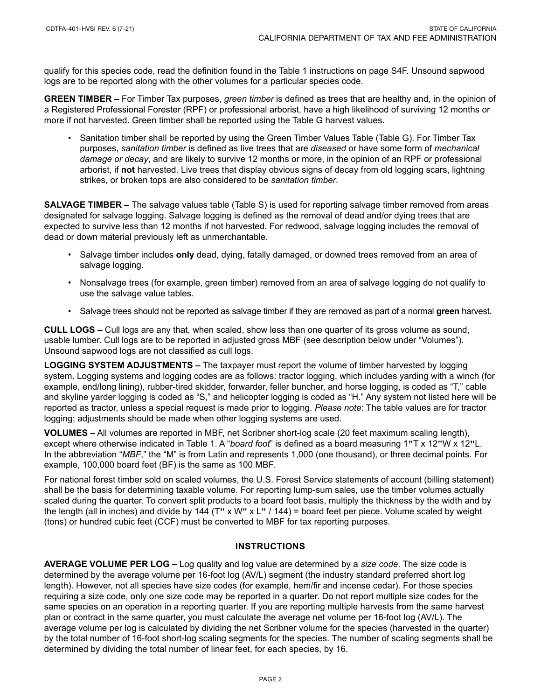qualify for this species code, read the definition found in the Table 1 instructions on page S4F. Unsound sapwood logs are to be reported along with the other volumes for a particular species code.

**GREEN TIMBER –** For Timber Tax purposes, *green timber* is defined as trees that are healthy and, in the opinion of a Registered Professional Forester (RPF) or professional arborist, have a high likelihood of surviving 12 months or more if not harvested. Green timber shall be reported using the Table G harvest values.

• Sanitation timber shall be reported by using the Green Timber Values Table (Table G). For Timber Tax purposes, *sanitation timber* is defined as live trees that are *diseased* or have some form of *mechanical damage or decay*, and are likely to survive 12 months or more, in the opinion of an RPF or professional arborist, if **not** harvested. Live trees that display obvious signs of decay from old logging scars, lightning strikes, or broken tops are also considered to be *sanitation timber*.

**SALVAGE TIMBER –** The salvage values table (Table S) is used for reporting salvage timber removed from areas designated for salvage logging. Salvage logging is defined as the removal of dead and/or dying trees that are expected to survive less than 12 months if not harvested. For redwood, salvage logging includes the removal of dead or down material previously left as unmerchantable.

- Salvage timber includes **only** dead, dying, fatally damaged, or downed trees removed from an area of salvage logging.
- Nonsalvage trees (for example, green timber) removed from an area of salvage logging do not qualify to use the salvage value tables.
- Salvage trees should not be reported as salvage timber if they are removed as part of a normal **green** harvest.

**CULL LOGS –** Cull logs are any that, when scaled, show less than one quarter of its gross volume as sound, usable lumber. Cull logs are to be reported in adjusted gross MBF (see description below under "Volumes"). Unsound sapwood logs are not classified as cull logs.

**LOGGING SYSTEM ADJUSTMENTS –** The taxpayer must report the volume of timber harvested by logging system. Logging systems and logging codes are as follows: tractor logging, which includes yarding with a winch (for example, end/long lining), rubber-tired skidder, forwarder, feller buncher, and horse logging, is coded as "T," cable and skyline yarder logging is coded as "S," and helicopter logging is coded as "H." Any system not listed here will be reported as tractor, unless a special request is made prior to logging. *Please note*: The table values are for tractor logging; adjustments should be made when other logging systems are used.

**VOLUMES –** All volumes are reported in MBF, net Scribner short-log scale (20 feet maximum scaling length), except where otherwise indicated in Table 1. A "*board foot*" is defined as a board measuring 1**"**T x 12**"**W x 12**"**L. In the abbreviation "*MBF*," the "M" is from Latin and represents 1,000 (one thousand), or three decimal points. For example, 100,000 board feet (BF) is the same as 100 MBF.

For national forest timber sold on scaled volumes, the U.S. Forest Service statements of account (billing statement) shall be the basis for determining taxable volume. For reporting lump-sum sales, use the timber volumes actually scaled during the quarter. To convert split products to a board foot basis, multiply the thickness by the width and by the length (all in inches) and divide by 144 (T**"** x W**"** x L**"** / 144) = board feet per piece. Volume scaled by weight (tons) or hundred cubic feet (CCF) must be converted to MBF for tax reporting purposes.

#### **INSTRUCTIONS**

**AVERAGE VOLUME PER LOG –** Log quality and log value are determined by a *size code*. The size code is determined by the average volume per 16-foot log (AV/L) segment (the industry standard preferred short log length). However, not all species have size codes (for example, hem/fir and incense cedar). For those species requiring a size code, only one size code may be reported in a quarter. Do not report multiple size codes for the same species on an operation in a reporting quarter. If you are reporting multiple harvests from the same harvest plan or contract in the same quarter, you must calculate the average net volume per 16-foot log (AV/L). The average volume per log is calculated by dividing the net Scribner volume for the species (harvested in the quarter) by the total number of 16-foot short-log scaling segments for the species. The number of scaling segments shall be determined by dividing the total number of linear feet, for each species, by 16.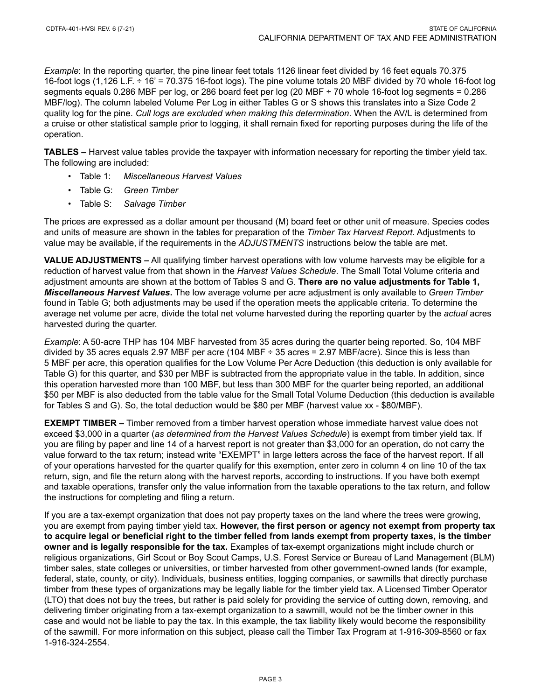*Example*: In the reporting quarter, the pine linear feet totals 1126 linear feet divided by 16 feet equals 70.375 16-foot logs (1,126 L.F. ÷ 16' = 70.375 16-foot logs). The pine volume totals 20 MBF divided by 70 whole 16-foot log segments equals 0.286 MBF per log, or 286 board feet per log (20 MBF ÷ 70 whole 16-foot log segments = 0.286 MBF/log). The column labeled Volume Per Log in either Tables G or S shows this translates into a Size Code 2 quality log for the pine. *Cull logs are excluded when making this determination*. When the AV/L is determined from a cruise or other statistical sample prior to logging, it shall remain fixed for reporting purposes during the life of the operation.

**TABLES –** Harvest value tables provide the taxpayer with information necessary for reporting the timber yield tax. The following are included:

- Table 1: *Miscellaneous Harvest Values*
- Table G: *Green Timber*
- Table S: *Salvage Timber*

The prices are expressed as a dollar amount per thousand (M) board feet or other unit of measure. Species codes and units of measure are shown in the tables for preparation of the *Timber Tax Harvest Report*. Adjustments to value may be available, if the requirements in the *ADJUSTMENTS* instructions below the table are met.

**VALUE ADJUSTMENTS –** All qualifying timber harvest operations with low volume harvests may be eligible for a reduction of harvest value from that shown in the *Harvest Values Schedule*. The Small Total Volume criteria and adjustment amounts are shown at the bottom of Tables S and G. **There are no value adjustments for Table 1,**  *Miscellaneous Harvest Values***.** The low average volume per acre adjustment is only available to *Green Timber* found in Table G; both adjustments may be used if the operation meets the applicable criteria. To determine the average net volume per acre, divide the total net volume harvested during the reporting quarter by the *actual* acres harvested during the quarter.

*Example*: A 50-acre THP has 104 MBF harvested from 35 acres during the quarter being reported. So, 104 MBF divided by 35 acres equals 2.97 MBF per acre (104 MBF ÷ 35 acres = 2.97 MBF/acre). Since this is less than 5 MBF per acre, this operation qualifies for the Low Volume Per Acre Deduction (this deduction is only available for Table G) for this quarter, and \$30 per MBF is subtracted from the appropriate value in the table. In addition, since this operation harvested more than 100 MBF, but less than 300 MBF for the quarter being reported, an additional \$50 per MBF is also deducted from the table value for the Small Total Volume Deduction (this deduction is available for Tables S and G). So, the total deduction would be \$80 per MBF (harvest value xx - \$80/MBF).

**EXEMPT TIMBER –** Timber removed from a timber harvest operation whose immediate harvest value does not exceed \$3,000 in a quarter (*as determined from the Harvest Values Schedule*) is exempt from timber yield tax. If you are filing by paper and line 14 of a harvest report is not greater than \$3,000 for an operation, do not carry the value forward to the tax return; instead write "EXEMPT" in large letters across the face of the harvest report. If all of your operations harvested for the quarter qualify for this exemption, enter zero in column 4 on line 10 of the tax return, sign, and file the return along with the harvest reports, according to instructions. If you have both exempt and taxable operations, transfer only the value information from the taxable operations to the tax return, and follow the instructions for completing and filing a return.

If you are a tax-exempt organization that does not pay property taxes on the land where the trees were growing, you are exempt from paying timber yield tax. **However, the first person or agency not exempt from property tax to acquire legal or beneficial right to the timber felled from lands exempt from property taxes, is the timber owner and is legally responsible for the tax.** Examples of tax-exempt organizations might include church or religious organizations, Girl Scout or Boy Scout Camps, U.S. Forest Service or Bureau of Land Management (BLM) timber sales, state colleges or universities, or timber harvested from other government-owned lands (for example, federal, state, county, or city). Individuals, business entities, logging companies, or sawmills that directly purchase timber from these types of organizations may be legally liable for the timber yield tax. A Licensed Timber Operator (LTO) that does not buy the trees, but rather is paid solely for providing the service of cutting down, removing, and delivering timber originating from a tax-exempt organization to a sawmill, would not be the timber owner in this case and would not be liable to pay the tax. In this example, the tax liability likely would become the responsibility of the sawmill. For more information on this subject, please call the Timber Tax Program at 1-916-309-8560 or fax 1-916-324-2554.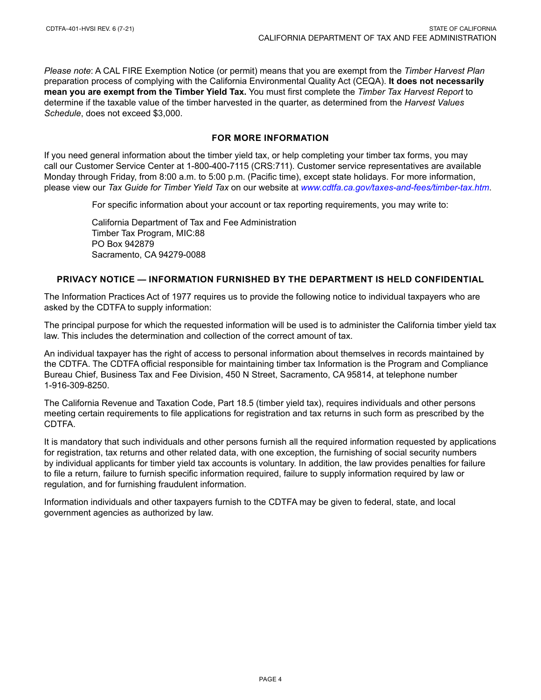*Please note*: A CAL FIRE Exemption Notice (or permit) means that you are exempt from the *Timber Harvest Plan* preparation process of complying with the California Environmental Quality Act (CEQA). **It does not necessarily mean you are exempt from the Timber Yield Tax.** You must first complete the *Timber Tax Harvest Report* to determine if the taxable value of the timber harvested in the quarter, as determined from the *Harvest Values Schedule*, does not exceed \$3,000.

#### **FOR MORE INFORMATION**

If you need general information about the timber yield tax, or help completing your timber tax forms, you may call our Customer Service Center at 1-800-400-7115 (CRS:711). Customer service representatives are available Monday through Friday, from 8:00 a.m. to 5:00 p.m. (Pacific time), except state holidays. For more information, please view our *Tax Guide for Timber Yield Tax* on our website at *[www.cdtfa.ca.gov/taxes-and-fees/timber-tax.htm](http://www.cdtfa.ca.gov/taxes-and-fees/timber-tax.htm)*.

For specific information about your account or tax reporting requirements, you may write to:

California Department of Tax and Fee Administration Timber Tax Program, MIC:88 PO Box 942879 Sacramento, CA 94279-0088

#### **PRIVACY NOTICE — INFORMATION FURNISHED BY THE DEPARTMENT IS HELD CONFIDENTIAL**

The Information Practices Act of 1977 requires us to provide the following notice to individual taxpayers who are asked by the CDTFA to supply information:

The principal purpose for which the requested information will be used is to administer the California timber yield tax law. This includes the determination and collection of the correct amount of tax.

An individual taxpayer has the right of access to personal information about themselves in records maintained by the CDTFA. The CDTFA official responsible for maintaining timber tax Information is the Program and Compliance Bureau Chief, Business Tax and Fee Division, 450 N Street, Sacramento, CA 95814, at telephone number 1-916-309-8250.

The California Revenue and Taxation Code, Part 18.5 (timber yield tax), requires individuals and other persons meeting certain requirements to file applications for registration and tax returns in such form as prescribed by the CDTFA.

It is mandatory that such individuals and other persons furnish all the required information requested by applications for registration, tax returns and other related data, with one exception, the furnishing of social security numbers by individual applicants for timber yield tax accounts is voluntary. In addition, the law provides penalties for failure to file a return, failure to furnish specific information required, failure to supply information required by law or regulation, and for furnishing fraudulent information.

Information individuals and other taxpayers furnish to the CDTFA may be given to federal, state, and local government agencies as authorized by law.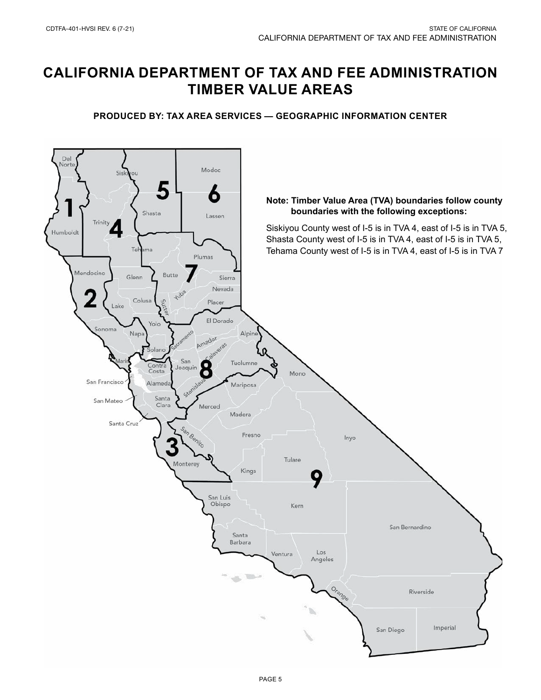# **CALIFORNIA DEPARTMENT OF TAX AND FEE ADMINISTRATION TIMBER VALUE AREAS**

#### **PRODUCED BY: TAX AREA SERVICES — GEOGRAPHIC INFORMATION CENTER**

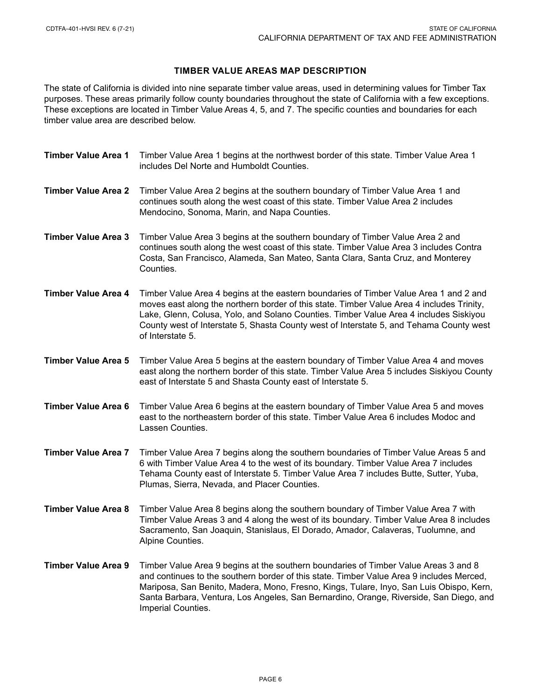#### **TIMBER VALUE AREAS MAP DESCRIPTION**

The state of California is divided into nine separate timber value areas, used in determining values for Timber Tax purposes. These areas primarily follow county boundaries throughout the state of California with a few exceptions. These exceptions are located in Timber Value Areas 4, 5, and 7. The specific counties and boundaries for each timber value area are described below.

| <b>Timber Value Area 1</b> | Timber Value Area 1 begins at the northwest border of this state. Timber Value Area 1<br>includes Del Norte and Humboldt Counties.                                                                                                                                                                                                                                                         |
|----------------------------|--------------------------------------------------------------------------------------------------------------------------------------------------------------------------------------------------------------------------------------------------------------------------------------------------------------------------------------------------------------------------------------------|
| <b>Timber Value Area 2</b> | Timber Value Area 2 begins at the southern boundary of Timber Value Area 1 and<br>continues south along the west coast of this state. Timber Value Area 2 includes<br>Mendocino, Sonoma, Marin, and Napa Counties.                                                                                                                                                                         |
| <b>Timber Value Area 3</b> | Timber Value Area 3 begins at the southern boundary of Timber Value Area 2 and<br>continues south along the west coast of this state. Timber Value Area 3 includes Contra<br>Costa, San Francisco, Alameda, San Mateo, Santa Clara, Santa Cruz, and Monterey<br>Counties.                                                                                                                  |
| <b>Timber Value Area 4</b> | Timber Value Area 4 begins at the eastern boundaries of Timber Value Area 1 and 2 and<br>moves east along the northern border of this state. Timber Value Area 4 includes Trinity,<br>Lake, Glenn, Colusa, Yolo, and Solano Counties. Timber Value Area 4 includes Siskiyou<br>County west of Interstate 5, Shasta County west of Interstate 5, and Tehama County west<br>of Interstate 5. |
| <b>Timber Value Area 5</b> | Timber Value Area 5 begins at the eastern boundary of Timber Value Area 4 and moves<br>east along the northern border of this state. Timber Value Area 5 includes Siskiyou County<br>east of Interstate 5 and Shasta County east of Interstate 5.                                                                                                                                          |
| Timber Value Area 6        | Timber Value Area 6 begins at the eastern boundary of Timber Value Area 5 and moves<br>east to the northeastern border of this state. Timber Value Area 6 includes Modoc and<br>Lassen Counties.                                                                                                                                                                                           |
| <b>Timber Value Area 7</b> | Timber Value Area 7 begins along the southern boundaries of Timber Value Areas 5 and<br>6 with Timber Value Area 4 to the west of its boundary. Timber Value Area 7 includes<br>Tehama County east of Interstate 5. Timber Value Area 7 includes Butte, Sutter, Yuba,<br>Plumas, Sierra, Nevada, and Placer Counties.                                                                      |
| <b>Timber Value Area 8</b> | Timber Value Area 8 begins along the southern boundary of Timber Value Area 7 with<br>Timber Value Areas 3 and 4 along the west of its boundary. Timber Value Area 8 includes<br>Sacramento, San Joaquin, Stanislaus, El Dorado, Amador, Calaveras, Tuolumne, and<br>Alpine Counties.                                                                                                      |
| <b>Timber Value Area 9</b> | Timber Value Area 9 begins at the southern boundaries of Timber Value Areas 3 and 8<br>and continues to the southern border of this state. Timber Value Area 9 includes Merced,<br>Mariposa, San Benito, Madera, Mono, Fresno, Kings, Tulare, Inyo, San Luis Obispo, Kern,<br>Santa Barbara, Ventura, Los Angeles, San Bernardino, Orange, Riverside, San Diego, and<br>Imperial Counties. |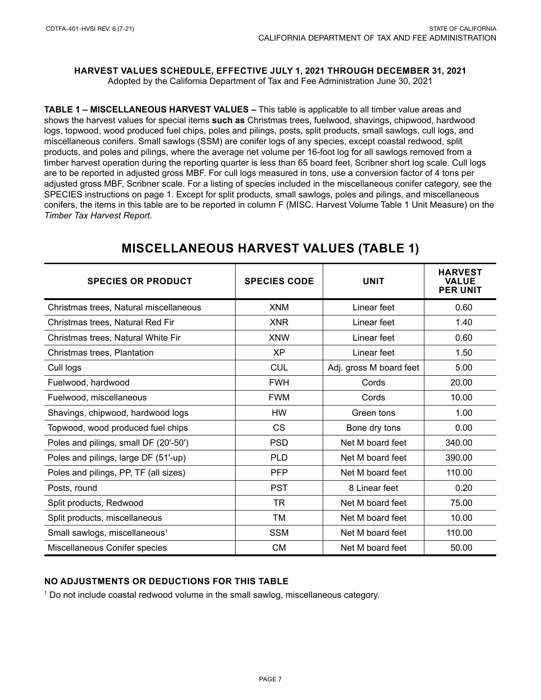### **HARVEST VALUES SCHEDULE, EFFECTIVE JULY 1, 2021 THROUGH DECEMBER 31, 2021**

Adopted by the California Department of Tax and Fee Administration June 30, 2021

**TABLE 1 – MISCELLANEOUS HARVEST VALUES –** This table is applicable to all timber value areas and shows the harvest values for special items **such as** Christmas trees, fuelwood, shavings, chipwood, hardwood logs, topwood, wood produced fuel chips, poles and pilings, posts, split products, small sawlogs, cull logs, and miscellaneous conifers. Small sawlogs (SSM) are conifer logs of any species, except coastal redwood, split products, and poles and pilings, where the average net volume per 16-foot log for all sawlogs removed from a timber harvest operation during the reporting quarter is less than 65 board feet, Scribner short log scale. Cull logs are to be reported in adjusted gross MBF. For cull logs measured in tons, use a conversion factor of 4 tons per adjusted gross MBF, Scribner scale. For a listing of species included in the miscellaneous conifer category, see the SPECIES instructions on page 1. Except for split products, small sawlogs, poles and pilings, and miscellaneous conifers, the items in this table are to be reported in column F (MISC. Harvest Volume Table 1 Unit Measure) on the *Timber Tax Harvest Report*.

| <b>SPECIES OR PRODUCT</b>                 | <b>SPECIES CODE</b> | <b>UNIT</b>             | <b>HARVEST</b><br><b>VALUE</b><br><b>PER UNIT</b> |  |
|-------------------------------------------|---------------------|-------------------------|---------------------------------------------------|--|
| Christmas trees, Natural miscellaneous    | <b>XNM</b>          | Linear feet             | 0.60                                              |  |
| Christmas trees, Natural Red Fir          | <b>XNR</b>          | Linear feet             | 1.40                                              |  |
| Christmas trees, Natural White Fir        | <b>XNW</b>          | Linear feet             | 0.60                                              |  |
| Christmas trees, Plantation               | <b>XP</b>           | Linear feet             | 1.50                                              |  |
| Cull logs                                 | <b>CUL</b>          | Adj. gross M board feet | 5.00                                              |  |
| Fuelwood, hardwood                        | <b>FWH</b>          | Cords                   | 20.00                                             |  |
| Fuelwood, miscellaneous                   | <b>FWM</b>          | Cords                   | 10.00                                             |  |
| Shavings, chipwood, hardwood logs         | <b>HW</b>           | Green tons              | 1.00                                              |  |
| Topwood, wood produced fuel chips         | <b>CS</b>           | Bone dry tons           | 0.00                                              |  |
| Poles and pilings, small DF (20'-50')     | <b>PSD</b>          | Net M board feet        | 340.00                                            |  |
| Poles and pilings, large DF (51'-up)      | <b>PLD</b>          | Net M board feet        | 390.00                                            |  |
| Poles and pilings, PP, TF (all sizes)     | <b>PFP</b>          | Net M board feet        | 110.00                                            |  |
| Posts, round                              | <b>PST</b>          | 8 Linear feet           | 0.20                                              |  |
| Split products, Redwood                   | <b>TR</b>           | Net M board feet        | 75.00                                             |  |
| Split products, miscellaneous             | ТM                  | Net M board feet        | 10.00                                             |  |
| Small sawlogs, miscellaneous <sup>1</sup> | <b>SSM</b>          | Net M board feet        | 110.00                                            |  |
| Miscellaneous Conifer species             | <b>CM</b>           | Net M board feet        | 50.00                                             |  |

### **MISCELLANEOUS HARVEST VALUES (TABLE 1)**

#### **NO ADJUSTMENTS OR DEDUCTIONS FOR THIS TABLE**

1 Do not include coastal redwood volume in the small sawlog, miscellaneous category.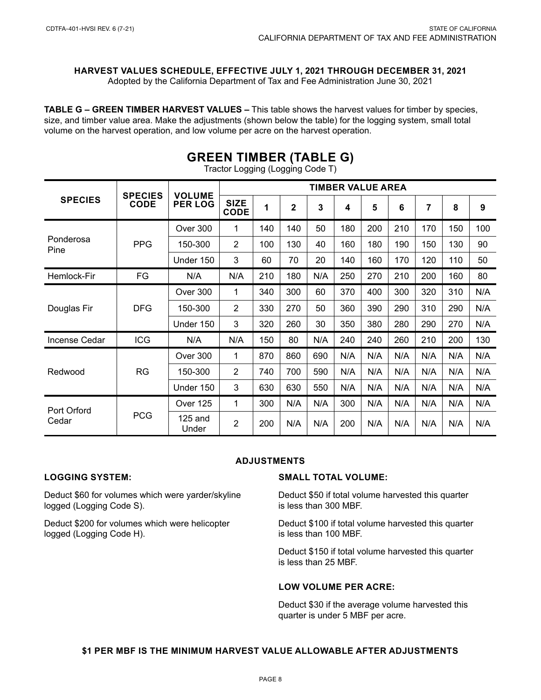**HARVEST VALUES SCHEDULE, EFFECTIVE JULY 1, 2021 THROUGH DECEMBER 31, 2021**

Adopted by the California Department of Tax and Fee Administration June 30, 2021

**TABLE G – GREEN TIMBER HARVEST VALUES –** This table shows the harvest values for timber by species, size, and timber value area. Make the adjustments (shown below the table) for the logging system, small total volume on the harvest operation, and low volume per acre on the harvest operation.

| <b>SPECIES</b>       | <b>SPECIES</b><br><b>CODE</b> | <b>VOLUME</b><br><b>PER LOG</b> | <b>TIMBER VALUE AREA</b>   |     |                |     |     |     |     |                |     |     |
|----------------------|-------------------------------|---------------------------------|----------------------------|-----|----------------|-----|-----|-----|-----|----------------|-----|-----|
|                      |                               |                                 | <b>SIZE</b><br><b>CODE</b> | 1   | $\overline{2}$ | 3   | 4   | 5   | 6   | $\overline{7}$ | 8   | 9   |
| Ponderosa<br>Pine    | <b>PPG</b>                    | Over 300                        | 1                          | 140 | 140            | 50  | 180 | 200 | 210 | 170            | 150 | 100 |
|                      |                               | 150-300                         | $\overline{2}$             | 100 | 130            | 40  | 160 | 180 | 190 | 150            | 130 | 90  |
|                      |                               | Under 150                       | 3                          | 60  | 70             | 20  | 140 | 160 | 170 | 120            | 110 | 50  |
| Hemlock-Fir          | FG                            | N/A                             | N/A                        | 210 | 180            | N/A | 250 | 270 | 210 | 200            | 160 | 80  |
| Douglas Fir          | <b>DFG</b>                    | Over 300                        | 1                          | 340 | 300            | 60  | 370 | 400 | 300 | 320            | 310 | N/A |
|                      |                               | 150-300                         | $\overline{2}$             | 330 | 270            | 50  | 360 | 390 | 290 | 310            | 290 | N/A |
|                      |                               | Under 150                       | 3                          | 320 | 260            | 30  | 350 | 380 | 280 | 290            | 270 | N/A |
| Incense Cedar        | <b>ICG</b>                    | N/A                             | N/A                        | 150 | 80             | N/A | 240 | 240 | 260 | 210            | 200 | 130 |
| Redwood              | <b>RG</b>                     | Over 300                        | 1                          | 870 | 860            | 690 | N/A | N/A | N/A | N/A            | N/A | N/A |
|                      |                               | 150-300                         | $\overline{2}$             | 740 | 700            | 590 | N/A | N/A | N/A | N/A            | N/A | N/A |
|                      |                               | Under 150                       | 3                          | 630 | 630            | 550 | N/A | N/A | N/A | N/A            | N/A | N/A |
| Port Orford<br>Cedar | <b>PCG</b>                    | Over 125                        | 1                          | 300 | N/A            | N/A | 300 | N/A | N/A | N/A            | N/A | N/A |
|                      |                               | $125$ and<br>Under              | 2                          | 200 | N/A            | N/A | 200 | N/A | N/A | N/A            | N/A | N/A |

## **GREEN TIMBER (TABLE G)**

Tractor Logging (Logging Code T)

#### **ADJUSTMENTS**

#### **LOGGING SYSTEM:**

Deduct \$60 for volumes which were yarder/skyline logged (Logging Code S).

Deduct \$200 for volumes which were helicopter logged (Logging Code H).

#### **SMALL TOTAL VOLUME:**

Deduct \$50 if total volume harvested this quarter is less than 300 MBF.

Deduct \$100 if total volume harvested this quarter is less than 100 MBF.

Deduct \$150 if total volume harvested this quarter is less than 25 MBF.

#### **LOW VOLUME PER ACRE:**

Deduct \$30 if the average volume harvested this quarter is under 5 MBF per acre.

#### **\$1 PER MBF IS THE MINIMUM HARVEST VALUE ALLOWABLE AFTER ADJUSTMENTS**